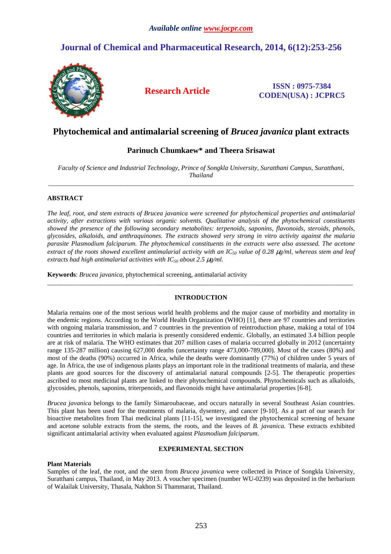# **Journal of Chemical and Pharmaceutical Research, 2014, 6(12):253-256**



## **Research Article ISSN : 0975-7384 CODEN(USA) : JCPRC5**

# **Phytochemical and antimalarial screening of** *Brucea javanica* **plant extracts**

## **Parinuch Chumkaew\* and Theera Srisawat**

*Faculty of Science and Industrial Technology, Prince of Songkla University, Suratthani Campus, Suratthani, Thailand*  \_\_\_\_\_\_\_\_\_\_\_\_\_\_\_\_\_\_\_\_\_\_\_\_\_\_\_\_\_\_\_\_\_\_\_\_\_\_\_\_\_\_\_\_\_\_\_\_\_\_\_\_\_\_\_\_\_\_\_\_\_\_\_\_\_\_\_\_\_\_\_\_\_\_\_\_\_\_\_\_\_\_\_\_\_\_\_\_\_\_\_\_\_

## **ABSTRACT**

*The leaf, root, and stem extracts of Brucea javanica were screened for phytochemical properties and antimalarial activity, after extractions with various organic solvents. Qualitative analysis of the phytochemical constituents showed the presence of the following secondary metabolites: terpenoids, saponins, flavonoids, steroids, phenols, glycosides, alkaloids, and anthraquinones. The extracts showed very strong in vitro activity against the malaria parasite Plasmodium falciparum. The phytochemical constituents in the extracts were also assessed. The acetone extract of the roots showed excellent antimalarial activity with an IC50 value of 0.28* µ*g/ml, whereas stem and leaf extracts had high antimalarial activities with IC50 about 2.5* µ*g/ml.* 

**Keywords**: *Brucea javanica*, phytochemical screening, antimalarial activity

## **INTRODUCTION**

\_\_\_\_\_\_\_\_\_\_\_\_\_\_\_\_\_\_\_\_\_\_\_\_\_\_\_\_\_\_\_\_\_\_\_\_\_\_\_\_\_\_\_\_\_\_\_\_\_\_\_\_\_\_\_\_\_\_\_\_\_\_\_\_\_\_\_\_\_\_\_\_\_\_\_\_\_\_\_\_\_\_\_\_\_\_\_\_\_\_\_\_\_

Malaria remains one of the most serious world health problems and the major cause of morbidity and mortality in the endemic regions. According to the World Health Organization (WHO) [1], there are 97 countries and territories with ongoing malaria transmission, and 7 countries in the prevention of reintroduction phase, making a total of 104 countries and territories in which malaria is presently considered endemic. Globally, an estimated 3.4 billion people are at risk of malaria. The WHO estimates that 207 million cases of malaria occurred globally in 2012 (uncertainty range 135-287 million) causing 627,000 deaths (uncertainty range 473,000-789,000). Most of the cases (80%) and most of the deaths (90%) occurred in Africa, while the deaths were dominantly (77%) of children under 5 years of age. In Africa, the use of indigenous plants plays an important role in the traditional treatments of malaria, and these plants are good sources for the discovery of antimalarial natural compounds [2-5]. The therapeutic properties ascribed to most medicinal plants are linked to their phytochemical compounds. Phytochemicals such as alkaloids, glycosides, phenols, saponins, triterpenoids, and flavonoids might have antimalarial properties [6-8].

*Brucea javanica* belongs to the family Simaroubaceae, and occurs naturally in several Southeast Asian countries. This plant has been used for the treatments of malaria, dysentery, and cancer [9-10]. As a part of our search for bioactive metabolites from Thai medicinal plants [11-15], we investigated the phytochemical screening of hexane and acetone soluble extracts from the stems, the roots, and the leaves of *B. javanica.* These extracts exhibited significant antimalarial activity when evaluated against *Plasmodium falciparum*.

## **EXPERIMENTAL SECTION**

## **Plant Materials**

Samples of the leaf, the root, and the stem from *Brucea javanica* were collected in Prince of Songkla University, Suratthani campus, Thailand, in May 2013. A voucher specimen (number WU-0239) was deposited in the herbarium of Walailak University, Thasala, Nakhon Si Thammarat, Thailand.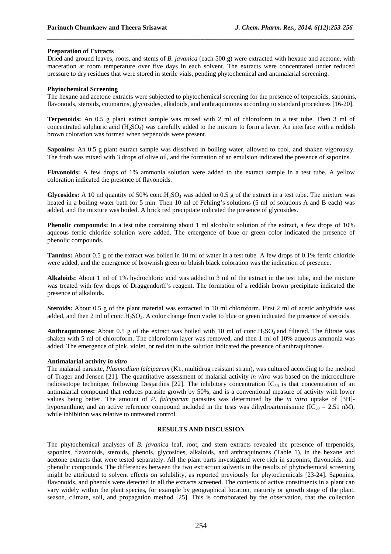#### **Preparation of Extracts**

Dried and ground leaves, roots, and stems of *B. javanica* (each 500 g) were extracted with hexane and acetone, with maceration at room temperature over five days in each solvent. The extracts were concentrated under reduced pressure to dry residues that were stored in sterile vials, pending phytochemical and antimalarial screening.

*\_\_\_\_\_\_\_\_\_\_\_\_\_\_\_\_\_\_\_\_\_\_\_\_\_\_\_\_\_\_\_\_\_\_\_\_\_\_\_\_\_\_\_\_\_\_\_\_\_\_\_\_\_\_\_\_\_\_\_\_\_\_\_\_\_\_\_\_\_\_\_\_\_\_\_\_\_\_*

#### **Phytochemical Screening**

The hexane and acetone extracts were subjected to phytochemical screening for the presence of terpenoids, saponins, flavonoids, steroids, coumarins, glycosides, alkaloids, and anthraquinones according to standard procedures [16-20].

**Terpenoids:** An 0.5 g plant extract sample was mixed with 2 ml of chloroform in a test tube. Then 3 ml of concentrated sulphuric acid  $(H_2SO_4)$  was carefully added to the mixture to form a layer. An interface with a reddish brown coloration was formed when terpenoids were present.

**Saponins:** An 0.5 g plant extract sample was dissolved in boiling water, allowed to cool, and shaken vigorously. The froth was mixed with 3 drops of olive oil, and the formation of an emulsion indicated the presence of saponins.

**Flavonoids:** A few drops of 1% ammonia solution were added to the extract sample in a test tube. A yellow coloration indicated the presence of flavonoids.

**Glycosides:** A 10 ml quantity of 50% conc.H<sub>2</sub>SO<sub>4</sub> was added to 0.5 g of the extract in a test tube. The mixture was heated in a boiling water bath for 5 min. Then 10 ml of Fehling's solutions (5 ml of solutions A and B each) was added, and the mixture was boiled. A brick red precipitate indicated the presence of glycosides.

**Phenolic compounds:** In a test tube containing about 1 ml alcoholic solution of the extract, a few drops of 10% aqueous ferric chloride solution were added. The emergence of blue or green color indicated the presence of phenolic compounds.

**Tannins:** About 0.5 g of the extract was boiled in 10 ml of water in a test tube. A few drops of 0.1% ferric chloride were added, and the emergence of brownish green or bluish black coloration was the indication of presence.

**Alkaloids:** About 1 ml of 1% hydrochloric acid was added to 3 ml of the extract in the test tube, and the mixture was treated with few drops of Draggendorff's reagent. The formation of a reddish brown precipitate indicated the presence of alkaloids.

**Steroids:** About 0.5 g of the plant material was extracted in 10 ml chloroform. First 2 ml of acetic anhydride was added, and then 2 ml of conc.H<sub>2</sub>SO<sub>4</sub>. A color change from violet to blue or green indicated the presence of steroids.

**Anthraquinones:** About 0.5 g of the extract was boiled with 10 ml of conc.  $H_2SO_4$  and filtered. The filtrate was shaken with 5 ml of chloroform. The chloroform layer was removed, and then 1 ml of 10% aqueous ammonia was added. The emergence of pink, violet, or red tint in the solution indicated the presence of anthraquinones.

#### **Antimalarial activity** *in vitro*

The malarial parasite, *Plasmodium falciparum* (K1, multidrug resistant strain), was cultured according to the method of Trager and Jensen [21]. The quantitative assessment of malarial activity *in vitro* was based on the microculture radioisotope technique, following Desjardins [22]. The inhibitory concentration IC<sub>50</sub> is that concentration of an antimalarial compound that reduces parasite growth by 50%, and is a conventional measure of activity with lower values being better. The amount of *P. falciparum* parasites was determined by the *in vitro* uptake of [3H] hypoxanthine, and an active reference compound included in the tests was dihydroartemisinine (IC<sub>50</sub> = 2.51 nM), while inhibition was relative to untreated control.

## **RESULTS AND DISCUSSION**

The phytochemical analyses of *B. javanica* leaf, root, and stem extracts revealed the presence of terpenoids, saponins, flavonoids, steroids, phenols, glycosides, alkaloids, and anthraquinones (Table 1), in the hexane and acetone extracts that were tested separately. All the plant parts investigated were rich in saponins, flavonoids, and phenolic compounds. The differences between the two extraction solvents in the results of phytochemical screening might be attributed to solvent effects on solubility, as reported previously for phytochemicals [23-24]. Saponins, flavonoids, and phenols were detected in all the extracts screened. The contents of active constituents in a plant can vary widely within the plant species, for example by geographical location, maturity or growth stage of the plant, season, climate, soil, and propagation method [25]. This is corroborated by the observation, that the collection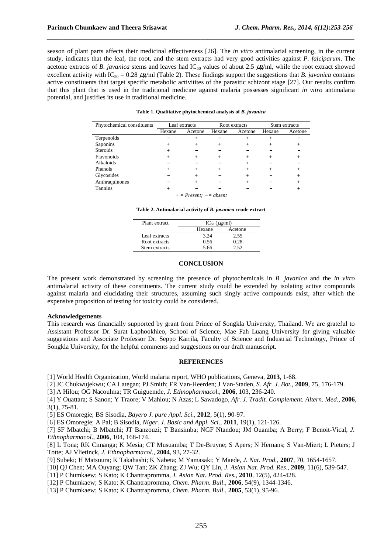season of plant parts affects their medicinal effectiveness [26]. The *in vitro* antimalarial screening, in the current study, indicates that the leaf, the root, and the stem extracts had very good activities against *P. falciparum*. The acetone extracts of *B. javanica* stems and leaves had  $IC_{50}$  values of about 2.5  $\mu$ g/ml, while the root extract showed excellent activity with IC<sub>50</sub> = 0.28  $\mu$ g/ml (Table 2). These findings support the suggestions that *B*. *javanica* contains active constituents that target specific metabolic activitites of the parasitic schizont stage [27]. Our results confirm that this plant that is used in the traditional medicine against malaria possesses significant *in vitro* antimalaria potential, and justifies its use in traditional medicine.

*\_\_\_\_\_\_\_\_\_\_\_\_\_\_\_\_\_\_\_\_\_\_\_\_\_\_\_\_\_\_\_\_\_\_\_\_\_\_\_\_\_\_\_\_\_\_\_\_\_\_\_\_\_\_\_\_\_\_\_\_\_\_\_\_\_\_\_\_\_\_\_\_\_\_\_\_\_\_*

| Table 1. Qualitative phytochemical analysis of B. javanica |  |  |
|------------------------------------------------------------|--|--|
|                                                            |  |  |

| Phytochemical constituents | Leaf extracts |         | Root extracts |                | Stem extracts |         |
|----------------------------|---------------|---------|---------------|----------------|---------------|---------|
|                            | Hexane        | Acetone | Hexane        | Acetone        | Hexane        | Acetone |
| Terpenoids                 |               | $^+$    |               | $\overline{+}$ | $\pm$         |         |
| Saponins                   |               |         |               | $^+$           | $^+$          |         |
| <b>Steroids</b>            | $^+$          |         |               |                |               |         |
| <b>Flavonoids</b>          | $\, +$        |         |               | $^+$           | $^+$          |         |
| Alkaloids                  |               |         |               | $\overline{+}$ |               |         |
| Phenols                    | ┿             |         | $^+$          | $\overline{+}$ | $\pm$         |         |
| Glycosides                 |               | $^+$    |               | $^+$           |               |         |
| Anthraquinones             |               | $^+$    |               | $^+$           |               |         |
| Tannins                    |               |         |               |                |               |         |

*+ = Present;* − *= absent*

**Table 2. Antimalarial activity of** *B. javanica* **crude extract** 

| Plant extract | $IC_{50}$ ( $\mu$ g/ml) |         |  |
|---------------|-------------------------|---------|--|
|               | Hexane                  | Acetone |  |
| Leaf extracts | 3.24                    | 2.55    |  |
| Root extracts | 0.56                    | 0.28    |  |
| Stem extracts | 5.66                    | -50     |  |

#### **CONCLUSION**

The present work demonstrated by screening the presence of phytochemicals in *B. javanica* and the *in vitro* antimalarial activity of these constituents. The current study could be extended by isolating active compounds against malaria and elucidating their structures, assuming such singly active compounds exist, after which the expensive proposition of testing for toxicity could be considered.

#### **Acknowledgements**

This research was financially supported by grant from Prince of Songkla University, Thailand. We are grateful to Assistant Professor Dr. Surat Laphookhieo, School of Science, Mae Fah Luang University for giving valuable suggestions and Associate Professor Dr. Seppo Karrila, Faculty of Science and Industrial Technology, Prince of Songkla University, for the helpful comments and suggestions on our draft manuscript.

#### **REFERENCES**

[1] World Health Organization, World malaria report, WHO publications, Geneva, **2013**, 1-68.

[2] JC Chukwujekwu; CA Lategan; PJ Smith; FR Van-Heerden; J Van-Staden, *S. Afr. J. Bot.,* **2009**, 75, 176-179.

[3] A Hilou; OG Nacoulma; TR Guiguemde, *J. Ethnopharmacol*., **2006**, 103, 236-240.

[4] Y Ouattara; S Sanon; Y Traore; V Mahiou; N Azas; L Sawadogo, *Afr. J. Tradit. Complement. Altern. Med*., **2006**, 3(1), 75-81.

[5] ES Omoregie; BS Sisodia, *Bayero J. pure Appl. Sci*., **2012**, 5(1), 90-97.

[6] ES Omoregie; A Pal; B Sisodia, *Niger. J. Basic and Appl. Sci*., **2011**, 19(1), 121-126.

[7] SF Mbatchi; B Mbatchi; JT Banzouzi; T Bansimba; NGF Ntandou; JM Ouamba; A Berry; F Benoit-Vical, *J. Ethnopharmacol*., **2006**, 104, 168-174.

[8] L Tona; RK Cimanga; K Mesia; CT Musuamba; T De-Bruyne; S Apers; N Hernans; S Van-Miert; L Pieters; J Totte; AJ Vlietinck, *J. Ethnopharmacol*., **2004**, 93, 27-32.

[9] Subeki; H Matsuura; K Takahashi; K Nabeta; M Yamasaki; Y Maede, *J. Nat. Prod.*, **2007**, 70, 1654-1657.

[10] QJ Chen; MA Ouyang; QW Tan; ZK Zhang; ZJ Wu; QY Lin, *J. Asian Nat. Prod. Res*., **2009**, 11(6), 539-547.

[11] P Chumkaew; S Kato; K Chantrapromma, *J. Asian Nat. Prod. Res.,* **2010**, 12(5), 424-428.

[12] P Chumkaew; S Kato; K Chantrapromma, *Chem. Pharm. Bull*., **2006**, 54(9), 1344-1346.

[13] P Chumkaew; S Kato; K Chantrapromma, *Chem. Pharm. Bull*., **2005**, 53(1), 95-96.